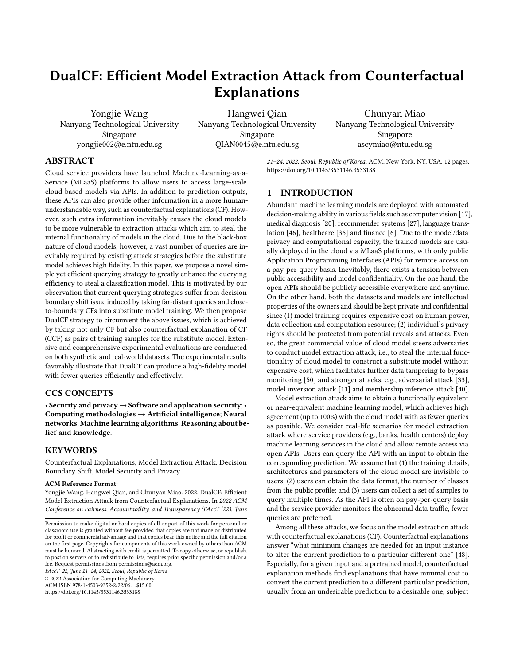# DualCF: Efficient Model Extraction Attack from Counterfactual Explanations

Yongjie Wang Nanyang Technological University Singapore yongjie002@e.ntu.edu.sg

Hangwei Qian Nanyang Technological University Singapore QIAN0045@e.ntu.edu.sg

Chunyan Miao Nanyang Technological University Singapore ascymiao@ntu.edu.sg

# ABSTRACT

Cloud service providers have launched Machine-Learning-as-a-Service (MLaaS) platforms to allow users to access large-scale cloud-based models via APIs. In addition to prediction outputs, these APIs can also provide other information in a more humanunderstandable way, such as counterfactual explanations (CF). However, such extra information inevitably causes the cloud models to be more vulnerable to extraction attacks which aim to steal the internal functionality of models in the cloud. Due to the black-box nature of cloud models, however, a vast number of queries are inevitably required by existing attack strategies before the substitute model achieves high fidelity. In this paper, we propose a novel simple yet efficient querying strategy to greatly enhance the querying efficiency to steal a classification model. This is motivated by our observation that current querying strategies suffer from decision boundary shift issue induced by taking far-distant queries and closeto-boundary CFs into substitute model training. We then propose DualCF strategy to circumvent the above issues, which is achieved by taking not only CF but also counterfactual explanation of CF (CCF) as pairs of training samples for the substitute model. Extensive and comprehensive experimental evaluations are conducted on both synthetic and real-world datasets. The experimental results favorably illustrate that DualCF can produce a high-fidelity model with fewer queries efficiently and effectively.

# CCS CONCEPTS

• Security and privacy → Software and application security; • Computing methodologies  $\rightarrow$  Artificial intelligence; Neural networks; Machine learning algorithms; Reasoning about belief and knowledge.

## **KEYWORDS**

Counterfactual Explanations, Model Extraction Attack, Decision Boundary Shift, Model Security and Privacy

#### ACM Reference Format:

Yongjie Wang, Hangwei Qian, and Chunyan Miao. 2022. DualCF: Efficient Model Extraction Attack from Counterfactual Explanations. In 2022 ACM Conference on Fairness, Accountability, and Transparency (FAccT '22), June

FAccT '22, June 21–24, 2022, Seoul, Republic of Korea

© 2022 Association for Computing Machinery. ACM ISBN 978-1-4503-9352-2/22/06. . . \$15.00 <https://doi.org/10.1145/3531146.3533188>

21–24, 2022, Seoul, Republic of Korea. ACM, New York, NY, USA, 12 pages. <https://doi.org/10.1145/3531146.3533188>

## 1 INTRODUCTION

Abundant machine learning models are deployed with automated decision-making ability in various fields such as computer vision [17], medical diagnosis [20], recommender systems [27], language translation [46], healthcare [36] and finance [6]. Due to the model/data privacy and computational capacity, the trained models are usually deployed in the cloud via MLaaS platforms, with only public Application Programming Interfaces (APIs) for remote access on a pay-per-query basis. Inevitably, there exists a tension between public accessibility and model confidentiality. On the one hand, the open APIs should be publicly accessible everywhere and anytime. On the other hand, both the datasets and models are intellectual properties of the owners and should be kept private and confidential since (1) model training requires expensive cost on human power, data collection and computation resource; (2) individual's privacy rights should be protected from potential reveals and attacks. Even so, the great commercial value of cloud model steers adversaries to conduct model extraction attack, i.e., to steal the internal functionality of cloud model to construct a substitute model without expensive cost, which facilitates further data tampering to bypass monitoring [50] and stronger attacks, e.g., adversarial attack [33], model inversion attack [11] and membership inference attack [40].

Model extraction attack aims to obtain a functionally equivalent or near-equivalent machine learning model, which achieves high agreement (up to 100%) with the cloud model with as fewer queries as possible. We consider real-life scenarios for model extraction attack where service providers (e.g., banks, health centers) deploy machine learning services in the cloud and allow remote access via open APIs. Users can query the API with an input to obtain the corresponding prediction. We assume that (1) the training details, architectures and parameters of the cloud model are invisible to users; (2) users can obtain the data format, the number of classes from the public profile; and (3) users can collect a set of samples to query multiple times. As the API is often on pay-per-query basis and the service provider monitors the abnormal data traffic, fewer queries are preferred.

Among all these attacks, we focus on the model extraction attack with counterfactual explanations (CF). Counterfactual explanations answer "what minimum changes are needed for an input instance to alter the current prediction to a particular different one" [48]. Especially, for a given input and a pretrained model, counterfactual explanation methods find explanations that have minimal cost to convert the current prediction to a different particular prediction, usually from an undesirable prediction to a desirable one, subject

Permission to make digital or hard copies of all or part of this work for personal or classroom use is granted without fee provided that copies are not made or distributed for profit or commercial advantage and that copies bear this notice and the full citation on the first page. Copyrights for components of this work owned by others than ACM must be honored. Abstracting with credit is permitted. To copy otherwise, or republish, to post on servers or to redistribute to lists, requires prior specific permission and/or a fee. Request permissions from permissions@acm.org.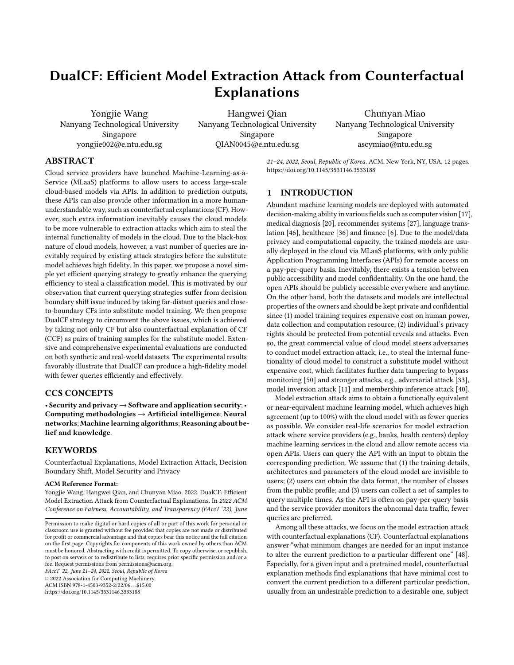

Figure 1: The workflow of model extraction attacks with counterfactual explanations. Service providers train the cloud model on their private data and deploy the counterfactual explanation service in the cloud. Adversaries aim to construct a substitute model by leveraging the information provided by APIs. Three types of model extraction attacks are illustrated. Steal-ML [44] only uses the prediction output of the query x. Model Extraction [3] considers both the query x and CF c while our proposed DualCF takes CF c and CCF c ′ into training. In Model Extraction Attacks module, "←" denotes uploading a query to the API and "→" denotes receiving outcomes from the API.

to specified constraints. Note that our proposed approach also uses counterfactual explanation methods to flip desired predictions to undesired ones. This is uncommon for general propose, but such counterfactual explanation methods are capable of flipping predictions of any input. Counterfactual explanations from a desirable prediction to undesirable one reveal the corresponding actions the subject should avoid to prevent the situation from turning worse. As counterfactual explanations offer suggestions with minimum cost to flip the current prediction, therefore, they have broad applications in healthcare (altering an unhealthy situation to a health one), finance (improving the loan approval rate), school admission (obtaining a school offer), paper review (minor revision for paper acceptance), and custom service recovery (regaining the loyalty of unhappy customers). To better illustrate how counterfactual explanations work, we take the loan application as an example: an applicant seeks a mortgage from a loan-granting bank. The applicant submits his/her related information (including age, education, salary, credit score) to the bank. The bank deploys a machine learning model with the binary classifier and then denies this loan application due to the submitted attributes of low salary and poor credit score. Naturally, the individual seeks to know the reason behind the rejection and further to know the necessary changes required before the loan can be approved. The decision-making system equipped with counterfactual explanations is able to provide constructive suggestions in a human-understandable way such as "increasing the salary by 500 and increasing the credit score by 100" to the applicant, showing the minimal improvement required before the application can be approved. Hence, different from original cloud models merely making opaque algorithmic decisions, cloud models equipped with CF provide additional information to better reflect the underlying key factors that explain the outcome of cloud models. Both attacks are illustrated in Fig. 1.

While much research [10, 23, 29, 45] studies how to improve the explanations to meet user requirements, few works study the security and privacy issues of counterfactual explanations, which are essential for safety-critical applications. Despite the intuition that such additional information would naturally enhance the risk

of model leakage, up to now, researchers have not reached a consensus on the security and privacy issues of model extraction attacks with CF. Some works [16, 48] claim that CF allows individuals to receive explanations without conveying the internal logic of the algorithmic black box since it only conveys a limited set of dependencies on an input, while other researchers [3, 42] do not agree with the above viewpoint. Recently, [3] experimentally verifies that adversaries can extract a high-fidelity model with counterfactual explanations leaking the information of decision boundary of cloud model. Nevertheless, due to the black-box property of the cloud model, adversaries need to continuously query the API to collect sufficient information before the substitute model can mimic the cloud model with a high agreement. With this in mind, we seek to propose a simple but efficient querying strategy, named DualCF, which greatly reduces the number of required queries, and further lowers the overall cost.

Our querying strategy DualCF is motivated from the decision boundary shift issue in existing Model Extraction method [3]. This issue refers to the decision boundary of the substitute model shifting away from the decision boundary of the cloud model when Model Extraction method takes CFs and queries into substitute model training. As it is challenging and almost impossible to obtain the ground-truth decision boundary and training data distribution of the cloud model in advance, the random queries may be far from the decision boundary of cloud model. However, counterfactual explanations are close to the decision boundary regardless of whatever probability threshold of target class is selected for the stop condition. This is because the cloud model tends to assign higher probabilities to all training samples to minimize the training loss. As queries and counterfactual explanations have different predictions, substitute model tends to move towards the middle area between them to separate them confidently. Note that, however, the decision boundary of cloud model is actually close to counterfactual explanations but far from queries. We illustrate this issue in Fig. 2(a) in two-dimensional data space. As queries are randomly selected at each time, the decision boundary of substitute model may shift to different locations, as shown in Fig. 2(a) and Fig. 2(b). To mitigate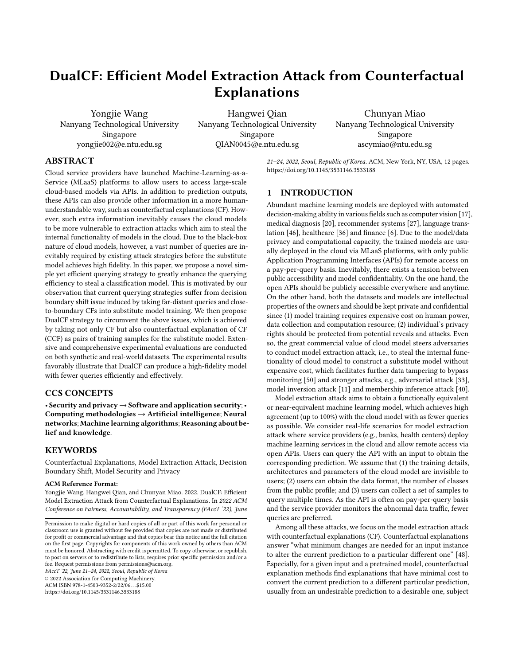DualCF: Efficient Model Extraction Attack from Counterfactual Explanations FACCT '22, June 21-24, 2022, Seoul, Republic of Korea



Figure 2: The illustration of decision boundary shift issue. (a) and (b) demonstrate that substitute model decision boundary shifts away from the ground truth due to far-distant queries in existing method Model Extraction [3]. (c) shows that Model Extraction has to use more queries to mitigate this issue. Our method DualCF can achieve comparable agreement with only one pair CF and CCF, as shown in (d), which favorably illustrates the efficacy of our method.

this issue, Model Extraction method has to require more queries at a higher attack cost and hence lower efficiency, as shown in Fig. 2(c).

To reduce the number of queries resulting from the decision boundary shift issue, we propose a simple yet efficient method DualCF. The gist of our method is to find proper queries with similar distances to decision boundary of cloud model. Note that explicitly selecting the close-to-boundary queries is quite difficult without decision boundary information of cloud model beforehand. To achieve so, our method feeds the current counterfactual explanation (CF) of a query into the open API, and obtains the counterfactual explanation of CF (named CCF for abbreviation). The workflow differences between our DualCF and existing methods (Steal-ML [44] and Model Extraction [3]) are shown in Fig. 1. Note that CF and CCF are counterfactual explanations of query and CF respectively, and they tend to locate in the region close to the decision boundary of cloud model but with different predictions. Lastly, we train the substitute model using pairs of CF and CCF. As shown in Fig. 2(d), DualCF with only a pair of CF and CCF achieves comparable agreements as Model Extraction. Due to the fact that CF and CCF have the similar distances to the decision boundary of the cloud model and have opposite predictions, the decision boundary shift issue in substitute model training is mitigated. CF and CCF work similarly to support vectors in SVM [9] to help infer the decision boundary. For any query, CF and CCF are always located in the close-to-boundary region, a subset of full data space. Therefore, our method is less sensitive to sampling procedure of queries from full data space.

Our proposed DualCF greatly reduces the queries theoretically and experimentally for model extraction attack, which consolidates the viewpoint that counterfactual explanations cause the model leakage. Our paper triggers an alarm about the privacy and security of counterfactual explanation service in the cloud and we hope it motivates the corresponding protection strategy in the future. The main contributions of this paper are three-folds:

• We dive into the fundamental mechanism of counterfactual explanation generation, and bridge the model extraction attack and counterfactual explanation theoretically.

- We observe that the bottleneck of existing attacks come from decision boundary shift issue, which is caused by training on far-distant queries and CF together. To enhance the efficiency, we propose a simple method DualCF that leverages both the CF and the counterfactual explanation of CF (CCF) into the substitute model training. As CF and CCF have the similar distances to the the decision boundary of cloud model, the boundary shift issue is reduced.
- We conduct extensive experiments on synthetic and reallife datasets. Our study shows that our proposed method can extract the high-fidelity model efficiently and effectively compared with existing methods.

## 2 RELATED WORK

Counterfactual Explanations. More complex models are deployed in the cloud for automatic decisions. Due to the black box nature of cloud models, attempts to explain the internal process for a prediction are required to enhance the model trust and rectify negative decisions. Counterfactual explanations [48] provide a way to understand the reasons on certain predictions and advice how to make smallest changes to receive a desired prediction. The desired prediction contrasts with the fact (current prediction), which is regarded "counterfactual". Counterfactual explanations mainly serve the following purposes: helping users understand why a prediction is made; detecting the model bias for algorithmic fairness [24]; and providing suggestions to receive a desired result from current decision model [22, 45]. This problem is also studied under other research terminologies like recourse [45], inverse classification [26], and contrastive explanation [10]. Following [48], many studies focus on how to model the practical and case-related requirements into mathematical constraints and then solving problems with proper solvers.

Considering some features are immutable (e.g., race, gender), [45] introduces the actionability constraint by freezing the immutable features among improved instance and original query. [19] requires the probability of counterfactual explanations to follow the data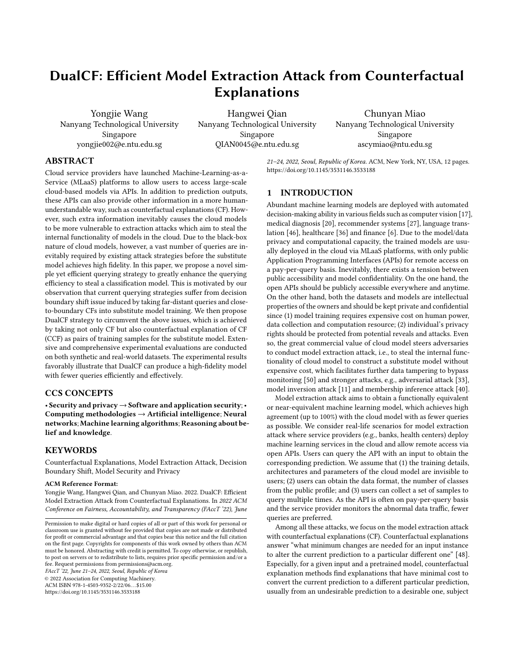distribution should be large enough to ensure plausible explanations. Diverse explanations are possible to cover multiple choices for each query. Based on this, [29, 38] incorporate diversity constraints on the generated set. As sparser explanations are easier to be adopted for users, [10] enforces sparsity property by adding  $L_0$ or  $L_1$  loss to penalize the changes over many entries of features. In practice, changing a certain feature (e.g., education) may implicitly affect other features (e.g., salary). Hence, it is proper to consider relations [19, 23] or joint effect [34] between feature subsets into modeling. As some features are incomparable, [49] returns the skyline of non-dominated counterfactual explanations. Once the objective and constraints are determined, it is crucial to develop proper solvers to find satisfied solutions. Typically, different solvers are required for different models and data properties. Besides, varying confidential levels of cloud models require different search process of solvers. For example, integer programming [45] or mixed integer programming [38] solvers are used for linear models with integer or categorical features. If a model is differentiable, gradient descent can be adopted [48]. Similarly, model-agnostic method growing spheres [26] searches the closest counterfactual explanation from the growing sphere around the query. Dijkstra's algorithm [35] is used for finding a feasible path from the query and the closest counterfactual explanation. Feature tweaking [43] is designed to retrieve the sub-path leading to target prediction from the current prediction path and select the minimum perturbations for a decision tree model.

Model Extraction Attacks. Model extraction attack intends to train a substitute model that approximates the cloud model well in terms of accuracy and fidelity. The accuracy-oriented methods [25, 31] aim to create a substitute model that has similar or better performance on a task as the cloud model, while the fidelity-oriented methods [12, 18, 21] target to reconstruct a high-fidelity substitute model that approximates the decision boundary of the cloud model as faithfully as possible. In addition to the attacks based on counterfactual explanations, it is also possible to conduct attack with prediction outputs, and gradients. Prediction outputs are the most common outcomes from remote APIs, which consist of the discrete predicted class, predicted class probability and probability vector. Adversaries design various attack algorithms [13, 21, 32, 33, 44, 51] to extract a high-fidelity or high-accuracy model from remote predictions. The essential step for these methods is using active learning [7] strategies to either generate informative synthetic points [21, 33, 44, 51] or select max-coverage points [32]. The "informative points" represent the data points close to the decision boundary (i.e., adversarial examples [14]) of the cloud model, and the "maxcoverage points" mean the data points should be far distant between each other (i.e., core-set [39]). Gradients help explain the model behavior upon an infinitesimal perturbation [41], a.k.a. the sensitivity in the neighborhood. As such, gradients can be used to explain the feature importance for a prediction of a given input. [28] finds that gradient-based feature importance methods can easily expose the cloud model to adversaries. In particular, the gradient of a arbitrary instance is the model weights for a linear model.

Despite the fact that counterfactual explanations do not disclose the cloud model in its entirety, the security and privacy of CFs have largely been overlooked [5, 24]. Some works [16, 48] claim that counterfactual explanations cannot expose the internal algorithmic logic except a limited set of dependencies on a single instance. Even though such limited information is trivial for extraction, gathering sufficient information with more queries is prominent to conduct model extraction. [42] points out that counterfactual explanations disclose more secrets of cloud model and can enhance the attack efficiency. A recent study [3] firstly conducts the model extraction attack on counterfactual explanations by viewing these close-to-boundary explanations as additional training instances, but we observe that it suffers from the decision boundary shift issue caused by far-distant queries especially when the query size is small. Therefore, it requires higher attack cost to query more times. Our proposed DualCF mitigates the boundary shift issue by introducing a novel querying strategy, which also greatly reduces the querying cost.

# 3 PRELIMINARIES

A cloud model  $f : \mathcal{X} \in \mathbb{R}^d \to \mathcal{Y} \in \mathbb{R}$  takes an arbitrary input<br>guery  $\mathbf{Y} \in \mathcal{X}$  as the input and predicts the output  $\in \mathcal{Y}$ . In this query  $X \in \mathcal{X}$  as the input, and predicts the output  $\in \mathcal{Y}$ . In this paper, we assume the cloud model is a pretrained neural network model for classification, parametrized by frozen weights . The counterfactual explanation method :  $f \times X \rightarrow X$  generates a minimal perturbed instance  $c \in X$  for the input instance **x** such that  $f(c)$  has the desirable prediction. Formally, searching for the counterfactual explanation  $c$  can be framed as the following mathematical formulation,

$$
\arg\min_{c} d(\mathbf{x}; c) \tag{1}
$$
\n
$$
s.t. \quad f(c) = \text{ and } f(c), \quad f(\mathbf{x})
$$

where  $d(\cdot): \mathcal{X} \times \mathcal{X} \to \mathbb{R}_+$  is a distance (cost) metric measuring the changes between the input  $x$  and  $c$ , and is the desirable target which is different from the original prediction  $f(\mathbf{x})$ . That is, we seek to find counterfactual explanations that belong to a target class while still remains proximal to the original instance. In addition to the constraints in Eq  $(1)$ , more constraints such as sparsity, feasibility and diversity can be added according to taskspecific requirements [47], which are left for future work.

In this paper, we focus on the high-fidelity extraction attack on counterfactual explanations which aims to extract a functional equivalent or near-equivalent model  $h$  that behaves very similarly to the model  $\boldsymbol{f}\,$  . It can be formulated as the following mathematical problem: for a set of queries  $D$  and a set of corresponding counterfactual explanations, it finds a substitute model  $h$  that performs equivalently on an evaluation set  $\mathcal T$ .

$$
\mathbf{max} \quad \mathbf{1}_{f} \quad (\mathbf{x}_{i}) = h \quad (\mathbf{x}_{i}) \tag{2}
$$

$$
s:t: h(x) = f(x); x \in \mathcal{D}
$$
 (3)

$$
c = (f : x); x \in \mathcal{D}
$$
 (4)

$$
h\ (c) = f\ (c) \tag{5}
$$

The existing method  $[3]$  feeds a query  $x$  into the API and then obtains the prediction  $f(\mathbf{x})$  and counterfactual explanation  $c$ . The pairs of  $(x; f(x))$  and  $(c; f(c))$  are treated as the training set without discrimination to learn the substitute model  $h$ .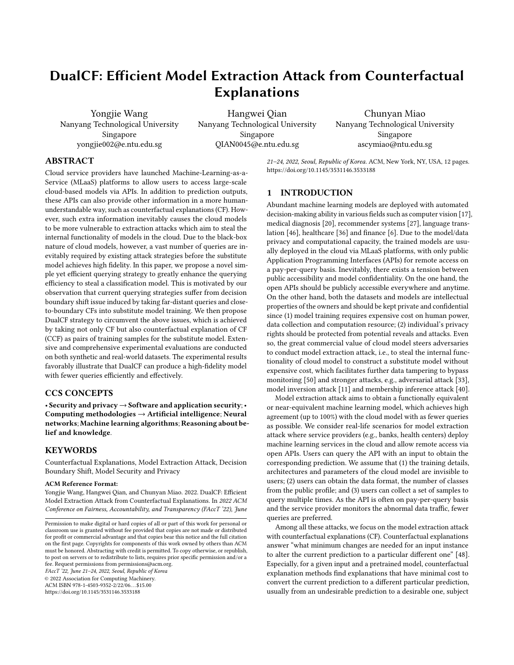## 4 PROPOSED APPROACH

# 4.1 Relation between Model Extraction Attack and Counterfactual Explanations

In this section, we observe that counterfactual explanations explicitly reveal not only the decision boundary location of cloud model but also important features of the cloud model. Such information is favorable for model extraction attack.

Here, we illustrate the information leakage through construction of counterfactual explanations. Let  $\{x_1; x_2; \dots; x_d\}$  denote d-<br>dimensional features of an instance **x** where each feature  $x_i$  is dimensional features of an instance  $\boldsymbol{x}$ , where each feature  $X_i$  is associated with a feature importance value  $W_i$  w.r.t. cloud model's prediction, e.g.,  $W_i$  is *i*-th coefficient if f is a linear model. A larger<br> $W_i$  leads to a larger prediction change if we tweak the feature  $X_i$  $w_i$  leads to a larger prediction change if we tweak the feature  $x_i$ <br>by the same amount. For simplicity, we consider the scenario with  $W_i$  leads to a larger prediction change if we tweak the feature  $X_i$ 2 features ( $d = 2$ ) and  $W_1 > W_2$ . In Eq. (1), note that the prediction change  $\Delta f = f(c) - f(x)$  from current prediction  $f(x)$  to desired prediction  $f(c)$  should be strictly satisfied, and the explanations with minimal cost (measured by some distance metrics) are preferred. We write the objective on 2d example as,

$$
\underset{C}{\arg\min} \left| \left| (c_1 - x_1; c_2 - x_2) \right| \right|_{p}; \text{ s.t. } (c_1 - x_1; c_2 - x_2)(w_1; w_2)^T = \Delta f.
$$

As  $W_1$  is larger in our assumption, smaller change ( $c_1$ − $x_1$ ) can satisfy the prediction change in the constraint and then associates with a smaller cost in the objective. Therefore, the ideal counterfactual explanation should change the feature  $x_1$  first. From the above analysis, we can conclude that counterfactual explanation methods naturally give high priority to change the features that have larger importance to the desirable prediction.

Essentially, model extraction attack seeks to infer the decision boundary of cloud model from the parameter space. With the favorable information from counterfactual explanations besides prediction output, the search process of substitute model is accelerated. As counterfactual explanations and queries have different predictions, there must exist a decision boundary to separate them. In addition, the feature with minor change corresponds to the important features in the cloud model. Therefore, we can infer the full or partial ranking of important features, which also help enhance the attack efficiency. The closeness of counterfactual explanations to decision boundary of cloud model should be also unearthed for efficient attacks.

# 4.2 Decision Boundary Shift Issue by Far-distant Queries

The straightforward method takes counterfactual explanations and queries as training samples of the substitute model, as pointed in [3]. However, we observe that this method suffers from the decision boundary shift issue, i.e., the substitute model's decision boundary shifts away from the ground truth. The issue is more severe especially when query size is smaller. To relieve the issue, existing methods have to adopt more queries, which result in higher querying cost. Here, we illustrate where this issue comes from and how it affects the attack efficiency.

In the beginning, adversaries know nothing about the decision boundary of cloud model and therefore the queries to upload may be far from the decision boundary of cloud model. However, counterfactual explanations produced by cloud model are usually close to decision boundary, and in the other side of the decision boundary. When we train the substitute model with counterfactual explanations and queries, the decision boundary of the substitute model tends to move to the middle area of the query and CF to separate them confidently. This deviates from the fact that decision boundary of the cloud model is close to counterfactual explanations and may be far from queries. As shown in Fig. 2(a) and (b), the substitute model's decision boundary is distorted by far-distant queries. Due to the sampling variance in queries, the substitute model's decision boundary may move to different regions. This results in a unstable substitute model for an attack method. That is why existing methods need to use more queries to achieve high fidelity and algorithm robustness.

For probabilistic models, the constraint  $f(c) = \text{in Eq. (1) be-}$ comes  $p(|c| >$ , meaning that the counterfactual explanation method searches the closest explanations above a given probability threshold of target class. As shown in Fig. 3(a), regions closer to decision boundary correspond to probability around <sup>0</sup>:5, wherein the model is uncertain about its predictions. Regions far away from decision boundary, on the contrary, correspond to either smaller or larger values, and the values indicate more confident predictions on class 0 and 1, respectively. In this case, could a higher probability threshold push counterfactual explanations away from the decision boundary to reduce the issue? The answer is yes, but the fact is that even if we set a higher probability threshold, counterfactual explanations are still close to the decision boundary. We observe that this issue roots in the over-confident predictions phenomenon in cloud models. That is, deep neural networks tend to assign high probability to all training instances, resulting in that instances with high probability can be close to the decision boundary, as shown in Fig. 3(d). We discuss this phenomenon in the following.

For a general neural network model for classification, the probability of predicted label belonging to class  $k \in [1; K]$  is computed as  $p(k) = \frac{\exp(z_k)}{k}$  or  $p(k) = (z_k)$ , where  $z_i$ ,  $z_k$  represent the  $i=\text{exp}(Z_i)$ <br>logits in the last layer of the neural network. The cross-entropy loss for classification is defined as ` =  $-\frac{k}{k-1}q(k)\log(p(k))$ , where q is a one-hot vector for ground truth Minimizing this loss function is a one-hot vector for ground truth. Minimizing this loss function is equivalent to maximize the likelihood of ground truth, in other words,  $z_k \gg z_i$  for *i*, *k* is desired if the ground truth class is k. As all training points are undifferentiated during training, the model tends to assign higher probability on actual class entry for each instance in order to minimize the loss function. This brings the over-confident prediction problem: the probability increases quickly and flattens if we gradually move an instance away from the decision boundary. We illustrate this with a binary classification model on a synthetic dataset in Fig. 3. The figure shows that more and more instances (i.e., instances in the left side of < 10% contour and instances in the right side of > 90% contour) have high probability (> 90% for class 1 or < 10% for class 0) and hence the probability density contour lines become denser and denser during training. Therefore, simply adjusting the probability threshold cannot ease the issue since counterfactual explanations are consistently close to the decision boundary due to the over-confident prediction problem.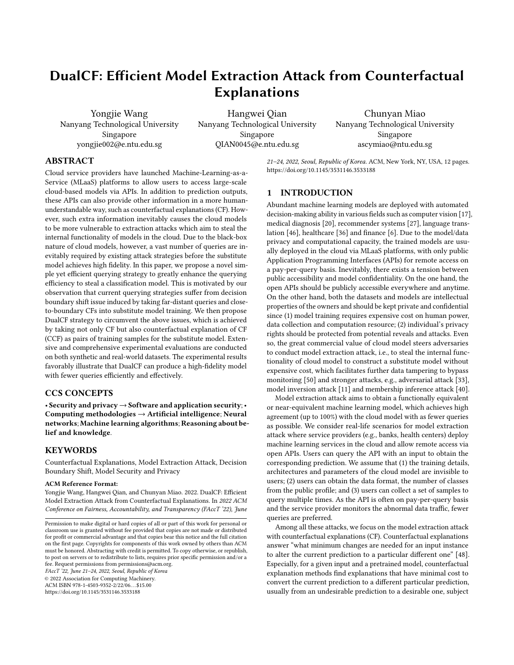FAccT '22, June 21-24, 2022, Seoul, Republic of Korea Yongjie Wang, Hangwei Qian, and Chunyan Miao



Figure 3: The probability density contour lines during training stage (at epoch 25, 50, 75, 100) of the cloud model trained on a synthetic dataset for binary classification task. The blue and purple dots are sampled points from training set. The values on the contour lines represent the probability calculated by the sigmoid function with range being [0; <sup>1</sup>]. We can see the model tends to assign high probabilities to more samples during training.

#### 4.3 DualCF

To overcome the decision boundary shift issue resulting from fardistant queries, we propose our algorithm DualCF by considering both CF and the counterfactual explanation of CF (CCF) as pairs of training samples for substitute model. As discussed previously, the decision boundary of the substitute model is distorted by taking far-distant queries and close-to-boundary counterfactual explanations into training. Our intuition is that, if training samples with different classes have similar distances to the decision boundary of cloud model, then this issue can be alleviated. As counterfactual explanations locate in the close-to-boundary region, could we search close-to-boundary queries directly? Actually, we do not know the decision boundary of cloud model in the beginning. Without decision boundary information, it is impossible to find the close-to-boundary queries directly. However, we can treat the counterfactual explanation of an arbitrary query as another query to the cloud API and obtain a CCF with the same prediction of original query. Since both CF and CCF are produced by the same counterfactual explanation API, CF and CCF have the similar distances to the decision boundary of the cloud model naturally. In addition, CCF and CF reside in opposite regions of the decision boundary due to their different predictions of classes. As such, the decision boundary shift issue is mitigated by adopting CF and CCF into substitute model training.

The proposed DualCF is listed in Algorithm 1. Our method first uploads a query x into the counterfactual explanation API and obtain an explanation  $c$  (line 5). Secondly, our method treats current explanation  $c$  as another query and obtains a CCF  $c'$  (line 6). Similarly, we generate the pair of  $CF$  and  $CCF$  for each of  $N$  queries and denote them as  $S$ . Finally, we train the substitute model  $h$ with  $S$ . It needs to be emphasized that  $c$  and its corresponding  $c'$ should be used in the same batch in order to mitigate the decision boundary shift issue. Hence, our proposed DualCF is a simple yet efficient querying strategy. The major difference between DualCF and recent studies [3, 44] is how to construct the training set for h . Steal-ML [44] collects  $(X; f(X))$ , Model Extraction [3] adopts  $(c; f(c))$  and  $(x; f(x))$  while our proposed DualCF uses  $(c; f(c))$ and  $(c'; f(c'))$ . Note that the initial query *x* is not used as training

#### Algorithm 1 DualCF

- 1: **Input:** Queries  $\{X_i\}_{i=1}^N$ , cloud model f, counterfactual explanation API (.) nation API (·).
- 2: Output: Substitute model  $h$ .
- 3: Initialize empty training set for substitute model  $S = \{\}.$
- 4: for  $i < N$  do  $c = (f : S)$ 5:  $C = (f ; x)$ <br>6:  $C' = (f : c)$  $c' =$  $\left( \boldsymbol{\zeta} : c \right)$
- 7:  $S = S$  $\{ (c; f(c)) ; (c'; f(c')) \}$
- 8: end for
- 9: cur iter =  $0$
- 
- 10: **while** cur\_iter < max\_iter **do** 11: Minimize the training loss of 11: Minimize the training loss of  $h$  on dataset  $S$ .<br>12:  $\text{cur iter++}$
- cur\_iter++.
- 13: end while
- 14:  $return h$

set in our DualCF. We also introduce a variant of our proposed method, denoted as DualCFX, which takes x as training data as well, i.e.,  $(c; f(c))$ ;  $(c'; f(c'))$ , and  $(x; f(x))$ .<br>We visualize the differences between as

We visualize the differences between existing attack methods and DualCF in Fig. 4 on a binary dataset. Two classes (shown as blue and purple dots) are separated by the model  $f$ . Three orange dots are three sampled queries, red hexogons and green triangles are CFs and CCFs respectively. The queries, corresponding CFs and CCFs are numbered by <sup>0</sup>; <sup>1</sup>; 2. Steal-ML [44] with prediction output only achieves lowest agreement. Model Extraction adds counterfactual explanations into training and achieves higher agreement. We also notice the decision boundary are pulled away from the ground truth by far-distant queries in Fig. 4(c). With CFs and CCFs as training pairs, our method obtains a substitute model with the highest agreement.

From the above analysis, we can see the advantages of DualCF. CF c and CCF c' are both close to decision boundary and have different predictions, not only reducing the boundary shift issue but also bringing a tighter space for inferring the decision boundary of cloud model. The CF  $c$  and CCF  $c$  work as the support vectors in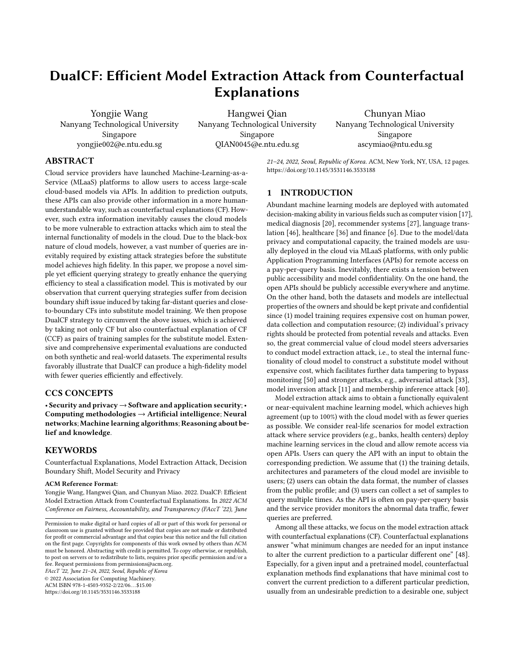DualCF: Efficient Model Extraction Attack from Counterfactual Explanations FACCT '22, June 21-24, 2022, Seoul, Republic of Korea



Figure 4: The toy examples on a binary synthetic dataset. We show 3 queries and corresponding CFs and CCFs (orange dots, green triangles, and red hexagons) in figure (a). Figure (b), (c) and (d) illustrate the substitute model's decision boundary produced by 3 attack methods. Steal-ML uses prediction outputs of queries, Model Extraction applies both queries and CFs, and our proposed DualCF considers CFs and CCFs. Our proposed DualCF achieves the highest agreement.

SVM algorithm [9]. Secondly, the number of each class is balanced favoring the learning process. Thirdly, our method is less sensitive to the sampling procedure of the queries because CF and CCF locate in the denser region close to the decision boundary.

#### 4.4 DualCF for A Linear Model

Here, we illustrate how our DualCF extracts a functionally equivalent model from only a pair of CF and CCF for a linear model. Suppose we have a binary linear model  $f = (\langle \cdot, x \rangle + b)$ , where the decision boundary is determined by the parameter and is the sigmoid function. For a query  $x$ , its counterfactual explanation  $c$ can be optimally found by searching along the direction of gradient  $(f'(x)) = f(x) * (1 - f(x)) *$ , stopping when it reaches a certain<br>probability belonging to the target class. Heing the API we obtain probability belonging to the target class. Using the API, we obtain the CF and CCF of a query.

LEMMA 4.1. For a binary linear model f, we can extract a substitute model h with 100% agreement, from a pair of  $CFC$  and  $CCFC'$ given an input x.

PROOF. As the model is linear, the CF and CCF can be optimally found along or against the gradient direction. We draw a straight line through the input point x which is perpendicular to decision boundary. The intersection point of the straight line and decision boundary is denoted as  $x_0$ . Then, the CF and CCF can be written as

$$
c = \mathbf{X}_0 + a \tag{6}
$$

$$
c' = x_0 - a \tag{7}
$$

respectively, where a depends on the probability threshold for a counterfactual explanation. As we have  $c$  and  $c'$  on hand, we can obtain a point  $x_0 = \frac{c + c'}{2}$  on the decision boundary. Besides, from any two of  $x$ ,  $c$  and  $c'$ , we can obtain the slope . With slope and a point in the line, we can obtain the decision boundary without any training. The lemma holds. □

Although extending the lemma to a nonlinear model remains unsolved, this linear scenario verifies that our proposed method can replicate the cloud model efficiently. In experiment section, we evaluate proposed DualCF in more general situations where the cloud model is nonlinear and complex.

## 5 EXPERIMENTS

In this section, we conduct extensive experiments to evaluate the proposed DualCF and its variant DualCFX on both synthetic and real-life datasets to compare with state-of-the-art methods.

# 5.1 Baselines

We employ the following state-of-the-art methods to verify the performance of our method.

- Steal-ML [44]. This method first labels the queries with the cloud model  $f$ , and then trains the model  $h$  on the labelled dataset. We randomly select queries for this method.
- Steal-ML (CoreSet) [32]. As random selection may choose redundant or similar samples that do not bring more useful information for extraction, we consider the second baseline that leverages the CoreSet algorithm in [12] to select the most distant samples to query the cloud model.
- Model Extraction [3]. This method is proposed to extract a substitute model for counterfactual explanation methods. It utilizes the prediction of queries and counterfactual explanations from the cloud model to train the substitute model.

#### 5.2 Implementation Details

We first train a Multilayer Perceptron (MLP) model  $f$  as the cloud model for each dataset. For the counterfactual explanation method, we use the existing algorithm [48] implemented in DiCE [37] (without diverse requirement) for the cloud model. The default objective function  $d(\cdot)$  is the L2 distance metric on normalized features. We display counterfactual explanations from DiCE on synthetic datasets in Fig.11 in Appendix A.1. After that, we train another MLP model  $h$  to approximate cloud model  $f$ . For simplicity, cloud model and substitute model have the same architecture, but we train both models with different random initializations and different data. In the following experiments, we also study the influence of substitute models with different capacities from cloud model. Adam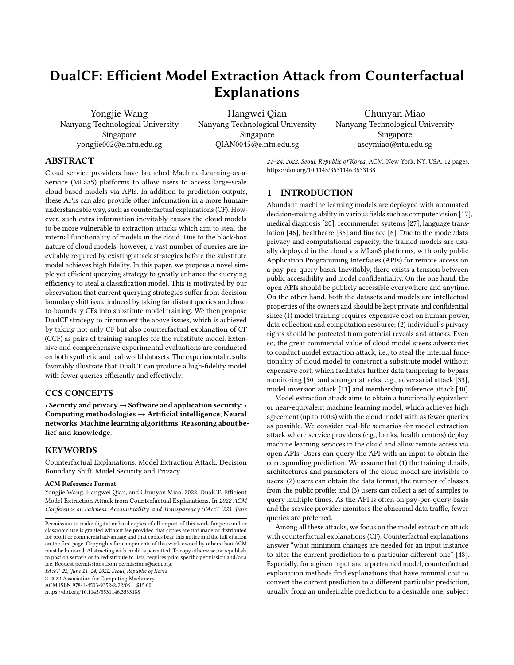optimizer is used for minimizing the binary cross-entropy loss of cloud model and substitute model. We stop the substitute model training until it reaches a maximum epoch. For fair comparison, all substitute models for all baselines and proposed methods on each dataset have the same training settings and architectures. We introduce more details of substitute model training in Appendix A.2.

#### 5.3 Evaluation Metrics

As we target to build a high-fidelity model  $h$  that behaves as similar to  $f$  as possible, we firstly define the **agreement** which measures the prediction difference between the  $f$  and  $h$  on a evaluation set of size n,

Agreement = 
$$
\frac{1}{n} \sum_{i=1}^{\infty} \mathbb{1}_{f(\mathbf{x}_i) = h(\mathbf{x}_i)}
$$
 (8)

A higher agreement is better for substitute models on the same queries. To show how the query size influences the algorithm behavior, we gradually select increasing number of queries and report the agreement on them. A higher agreement curve is better. To reduce the experiment variance due to random sampling of queries and random initialization in model training, we compute the average agreement over 100 runs for a fixed query size. We also compare the standard deviation (std) of 100 runs to measure the algorithmic stability. The smaller standard deviation means that the attack method is more stable to the sampling procedure and model initialization. If two model extraction methods have the same agreement, then lower standard deviation is preferred.

#### 5.4 Datasets

We consider the following 5 datasets, which are widely used in research on counterfactual explanations for evaluation.

- Synthetic Dataset. We generate two 2-dimensional datasets where all data points are uniformly sampled from a close interval [0; <sup>6</sup>]. We draw a straight line on the first dataset and a S-curve on the second dataset, to separate data points of each dataset into two parts and assign each part with a label. The first dataset is named Syn-Linear and the second dataset is named Syn-Nonlinear respectively.
- Give Me Some Credit (GMSC) [1]. This dataset is collected for predicting whether someone will experience finance distress in the next two years by his/her financial and demographic information (10 numerical features). The full dataset contains <sup>150</sup>; <sup>000</sup> applicants where <sup>139</sup>; <sup>974</sup> applicants are labeled as "good" and <sup>10</sup>; <sup>026</sup> applicants are labeled as "bad". We select the first <sup>10</sup>; <sup>026</sup> "good" records and all "bad" records to form the final dataset for balance. We follow the preprocessing procedure in [30] to fill the missing values, remove outliers and delete irrelevant features, etc.
- Heloc Dataset [8]. It is used for predicting whether an individual will repay the Heloc account in two years by 23 numerical features describing the personal information. The target variable "RiskPerformance" is binary, 5000 "good" records indicating no default , 5459 "bad" records indicating the opposite. We keep the top-10 important features based on the analysis [2] of the IBM team, which is the champion of FICO

Heloc challenge. We adopt the same pre-processing in [2] to remove abnormal values.

• Boston Housing Dataset [15]. The dataset has 506 records, where each record has 12 features for predicting the house price in Boston. We follow the pre-processing of the alibi tutorial [4], which firstly transforms the continuous labels into binary classes based on whether the house price is above the median or not, and then removes three categorical features.

We split these datasets into 3 disjointed sets: training, query and evaluation sets at the ratio of 50%, 25%, 25%. We describe them in detail as follows: (1) training set (50%) is used for training the cloud model  $f$ ; (2) query set (25%) is used to feed into counterfactual explanation API  $(·)$  for obtaining counterfactual explanations, and we train the substitute model  $h$  on them. Note that we merely upload a subset of queries to counterfactual explanation API in our experiments; (3) evaluation set (25%) is for evaluating how faithful the substitute model  $h$  is. As we target to build a high-fidelity model, we use the predicted label instead of the true label on the evaluation set. A validation set for tuning the cloud model f is omitted because we assume the cloud model is given and frozen. Therefore, we directly use the architecture and hyper-parameters from public to train the cloud model  $f$ . For the cloud model, we normalize the features by standard normalization where the mean value and variance are estimated on the training set. For the substitute model, we compute the mean value and variance on the full query set for standard normalization.

### 5.5 Experimental Results

We report competitive experimental results on synthetic and reallife datasets in Fig. 5. The x-axis represents the size of queries in each run. The y-axis of the upper figures represents the average agreement of 100 runs while the y-axis of the bottom figures describes the standard deviation of agreements of 100 runs. From them, we can see (1) Extraction methods on counterfactual explanations achieve better results that those merely on prediction output. This is consistent with our previous analysis where counterfactual explanations leak the boundary information of the cloud model which can help the model extraction; (2) DualCF and DualCFX achieve the best agreement on five datasets when the query size is small; (3) DualCFX will improve the DualCF slightly because it takes the queries into training. More training data will result in better performance. Therefore, we suggest adopting the DualCFX as the default method; (4) The standard deviation of agreements of our proposed methods is smaller than baseline methods in general, which means our methods are less sensitive to the sampling procedure; (5) When the query size increases, the gaps between all algorithms decrease because too many predictions from the cloud model are enough to train a good substitute model.

#### 5.6 Ablation Studies

Next, we perform several ablation studies to investigate the effects of some experiment factors on extraction performance.

Model Capacity. We first study how capacity of the substitute model affects the extraction results. The baseline substitute model is a MLP classifier, and we consider three variants of the baseline architecture: removing 50% nodes of last layer, adding 50% nodes to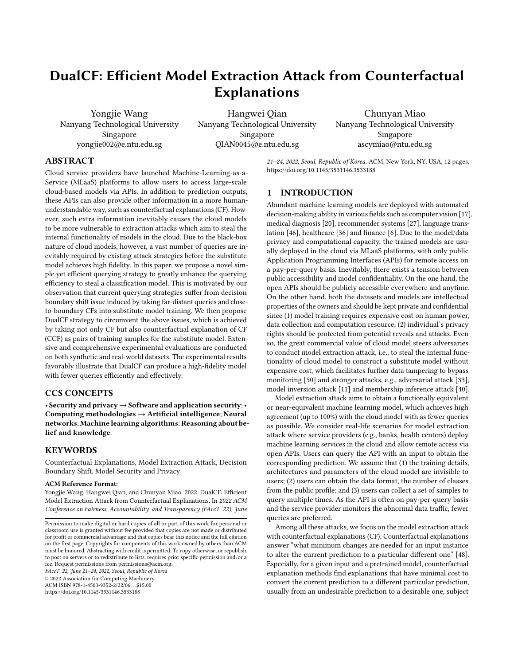

Figure 5: Experiment results on synthetic and real-life datasets. The upper figures report the average agreement while the bottom figures report the standard deviation of agreements of 100 runs for a fixed size of queries. ↑/↓ mean the higher/lower results are better.

the last layer, and adding one layer. We detail the baseline architectures and their variants on each dataset in Table 2 in Appendix A.3. We train these models on the same query set and counterfactual explanations, and then report the agreement in Fig. 6. We can see the differences between substitute models with different capacities are inconsiderable, implying that the model capacity does not play a key role in the extraction attack. A similar conclusion can be found in [3, 33]. As the architectures of the cloud model are often unknown to adversaries, selecting the best model is challenging. Adversaries can select a substitute model based on prior knowledge, e.g., the state-of-the-art models for the same or similar task.

Threshold. Counterfactual explanation methods search an explanation above a probability threshold of target class. Here we empirically investigate the influence of different thresholds. We set the threshold from 0.6 to 0.9 by 0.1 and generate different counterfactual explanations for each threshold with the same method. Then, we train a substitute model with DualCF on CFs and CCFs for each threshold respectively. The experiment results are shown in Fig. 7. The agreement differences between different thresholds are slight on the five datasets. This is consistent to our discussion in Section 4.2. In the training stage, the cloud model tends to assign high probability to the training points to minimize the training loss. With a higher probability threshold, CF and CCF are still close to the decision boundary of cloud model.

**The Distance Metric**  $d(\cdot)$ . A proper distance metric is essential for finding meaningful proximal instances. Here, we investigate the efficacy of the following three commonly used distance metrics, i.e., 1) L1:  $\begin{bmatrix} d \\ f_1(x_i - c_i)^2 \\ g'_2(x_i - c_i) \end{bmatrix}$  L2:  $\begin{bmatrix} d \\ f_1(x_i - c_i) \\ g'_1(x_i - c_i) \end{bmatrix}$ ; and 3) L1/MAD:  $\frac{d}{dt}$   $\frac{|X_i - C_i|}{|MAD_i|}$  with  $MAD_i$  is the median absolute deviation of feature i over the training set i over the training set.

As shown in Fig. 8, our proposed model is consistently robust to the choice of distance metric on synthetic datasets. On the rest datasets, however, such robustness does not stand when the number of queries is small, i.e., L2 distance metric outperforms L<sup>1</sup> and L1/MAD when the queries are limited. We conjecture that it is due to the sparsity nature of L1-based metrics, where such sparse explanations do not fit the high-dimensional input space.

Imbalanced Dataset. This experiment was conducted to illustrate that performance of attack methods based on counterfactual explanations are more stable on the imbalanced dataset. In this experiment, we choose an imbalanced GMSC query dataset where the "Good" applicants are 5 times more than "Bad" applicants. The evaluation set is kept unchanged. This is the general case in some applications like fraud detection, healthcare. We report experiment results on imbalanced query set in Fig. 9. Compared with the results on balanced datasets in column 3 in Fig. 5, we can see the variance of attack methods based on cloud model's prediction are larger. However, attack methods for counterfactual explanations are more stable due to the balanced classes during the substitute model training.

Shuffling CFs and CCFs. We claim that CF and its CCF should be in the same batch during training. Fig. 10 reports the experiment difference between with/without shuffling CFs and CCFs. Experiment results reveal that training with pairs of CFs and CCFs in the same batch achieves better results. The shuffle operation will destroy the propose of our method that we should train on pairs of instances with similar distance to distance boundary of cloud model and with different predictions.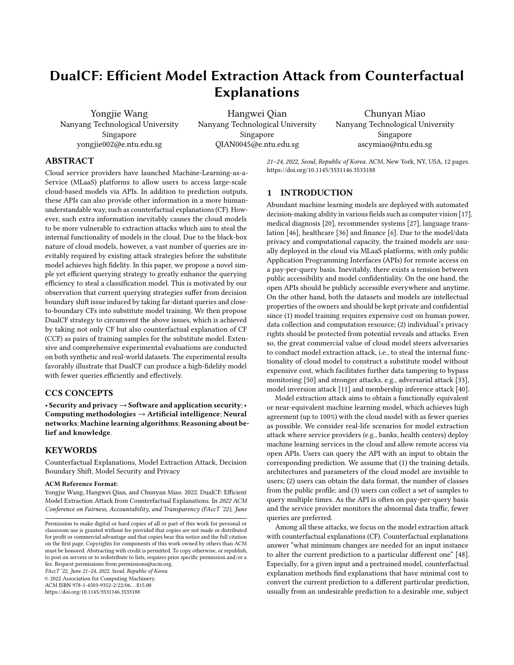FAccT '22, June 21-24, 2022, Seoul, Republic of Korea Yongjie Wang, Hangwei Qian, and Chunyan Miao



Figure 6: Experiment comparisons on different model capacities in proposed DualCF. "Remove Nodes", "Add Nodes", and "Add Layer" represent three variants of baseline architectures.



Figure 7: Experimental comparisons on different thresholds in counterfactual explanation generation in our proposed DualCF. We select different thresholds {0.6, 0.7, 0.8, 0.9} as the prediction confidence to generate different CFs and CCFs.



Figure 8: Experimental comparisons on different distance metrics in our proposed DualCF.

# 6 CONCLUSION

Counterfactual explanation method searches the minimum perturbations for an input to achieve a particular different prediction, which has broad applications. However, the boundary information leaked from counterfactual explanations is prone to model extraction attacks. In this paper, we propose a simple yet efficient method DualCF that mitigates the decision boundary shift issue in existing methods. Extensive experiments demonstrate that our method can achieve a high-fidelity model with much fewer queries. Our work

raises the awareness of the privacy and security issues of counterfactual explanations, and further motivates the countermeasures (e.g., monitoring malicious queries, adding superfluous features on model training and counterfactual explanations for misleading adversaries, restrict one-way generation of counterfactual explanations.) to protect the cloud model. In the future, we will work on more general attacks and defenses on multi-class classification models and regression models, and explore the influence of different practical constraints on the security of counterfactual explanations.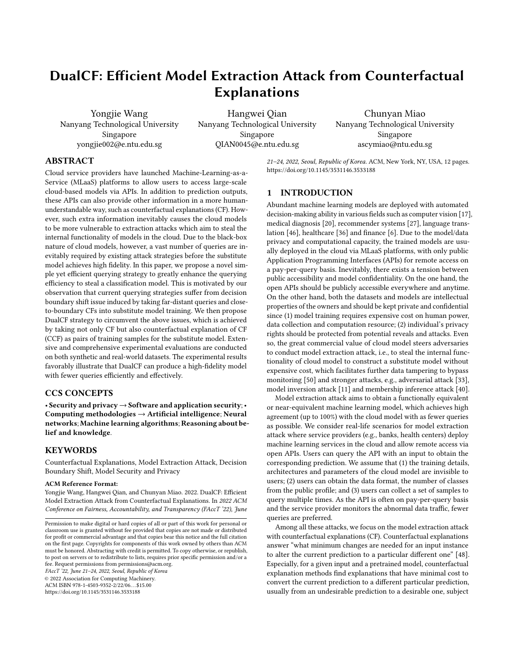

Figure 9: Experiment results on imbalanced GMSC query set. Figure 10: Experiment results on with/without shuffling for DualCF.

## ACKNOWLEDGMENTS

This research is supported by the National Research Foundation, Prime Minister's Office, Singapore under its NRF Investigatorship Programme (NRFI Award No. NRF-NRFI05-2019-0002). Any opinions, findings and conclusions or recommendations expressed in this material are those of the author(s) and do not reflect the views of National Research Foundation, Singapore. This research is supported, in part, by Alibaba Group through Alibaba Innovative Research (AIR) Program and Alibaba-NTU Singapore Joint Research Institute (JRI), Nanyang Technological University, Singapore. H.Qian thanks the support from the Wallenberg-NTU Presidential Postdoctoral Fellowship.

#### REFERENCES

- [1] [n. d.]. Give Me Some Credit Dataset. [https://www.kaggle.com/c/](https://www.kaggle.com/c/GiveMeSomeCredit/overview) [GiveMeSomeCredit/overview](https://www.kaggle.com/c/GiveMeSomeCredit/overview)
- [2] IBM AI Explainability 360. [n. d.]. Credit Approval. [https://nbviewer.org/github/](https://nbviewer.org/github/IBM/AIX360/blob/master/examples/tutorials/HELOC.ipynb) [IBM/AIX360/blob/master/examples/tutorials/HELOC.ipynb](https://nbviewer.org/github/IBM/AIX360/blob/master/examples/tutorials/HELOC.ipynb)
- [3] Ulrich Aïvodji, Alexandre Bolot, and Sébastien Gambs. 2020. Model extraction from counterfactual explanations. arXiv preprint arXiv:2009.01884 (2020).
- [4] SeldonIO alibi. [n. d.]. Counterfactuals guided by prototypes on Boston housing dataset. [https://docs.seldon.io/projects/alibi/en/latest/examples/cfproto\\_housing.](https://docs.seldon.io/projects/alibi/en/latest/examples/cfproto_housing.html) [html](https://docs.seldon.io/projects/alibi/en/latest/examples/cfproto_housing.html)
- [5] Solon Barocas, Andrew D. Selbst, and Manish Raghavan. 2020. The hidden assumptions behind counterfactual explanations and principal reasons. In FAT '20: Conference on Fairness, Accountability, and Transparency, Barcelona, Spain, January 27-30, 2020, Mireille Hildebrandt, Carlos Castillo, L. Elisa Celis, Salvatore Ruggieri, Linnet Taylor, and Gabriela Zanfir-Fortuna (Eds.). ACM, 80–89. [https:](https://doi.org/10.1145/3351095.3372830) [//doi.org/10.1145/3351095.3372830](https://doi.org/10.1145/3351095.3372830)
- [6] Luyang Chen, Markus Pelger, and Jason Zhu. 2020. Deep learning in asset pricing. Available at SSRN 3350138 (2020).
- [7] David Cohn, Les Atlas, and Richard Ladner. 1994. Improving generalization with active learning. Machine learning 15, 2 (1994), 201-221.
- [8] FICO Community. [n. d.]. Explainable Machine Learning Challenge. [https://](https://community.fico.com/s/explainable-machine-learning-challenge) [community.fico.com/s/explainable-machine-learning-challenge](https://community.fico.com/s/explainable-machine-learning-challenge)
- [9] Corinna Cortes and Vladimir Vapnik. 1995. Support-vector networks. Machine learning 20, 3 (1995), 273–297.
- [10] Amit Dhurandhar, Pin-Yu Chen, Ronny Luss, Chun-Chen Tu, Paishun Ting, Karthikeyan Shanmugam, and Payel Das. 2018. Explanations based on the missing: Towards contrastive explanations with pertinent negatives. In Advances in Neural Information Processing Systems. 592–603.
- [11] Matt Fredrikson, Somesh Jha, and Thomas Ristenpart. 2015. Model inversion attacks that exploit confidence information and basic countermeasures. In Proceedings of the 22nd ACM SIGSAC conference on computer and communications security. 1322–1333.
- [12] Xueluan Gong, Yanjiao Chen, Wenbin Yang, Guanghao Mei, and Qian Wang. 2021. InverseNet: Augmenting Model Extraction Attacks with Training Data

Inversion. In Proceedings of the Thirtieth International Joint Conference on Artificial Intelligence, IJCAI-21, Zhi-Hua Zhou (Ed.). International Joint Conferences on Artificial Intelligence Organization, 2439–2447. [https://doi.org/10.24963/ijcai.](https://doi.org/10.24963/ijcai.2021/336) [2021/336](https://doi.org/10.24963/ijcai.2021/336) Main Track.

- [13] Xueluan Gong, Qian Wang, Yanjiao Chen, Wang Yang, and Xinchang Jiang. 2020. Model Extraction Attacks and Defenses on Cloud-Based Machine Learning Models. IEEE Communications Magazine 58, 12 (2020), 83–89.
- [14] Ian J Goodfellow, Jonathon Shlens, and Christian Szegedy. 2014. Explaining and harnessing adversarial examples. arXiv preprint arXiv:1412.6572 (2014).
- [15] David Harrison Jr and Daniel L Rubinfeld. 1978. Hedonic housing prices and the demand for clean air. Journal of environmental economics and management 5, 1 (1978), 81–102.
- [16] Masoud Hashemi and Ali Fathi. 2020. PermuteAttack: Counterfactual Explanation of Machine Learning Credit Scorecards. arXiv preprint arXiv:2008.10138 (2020).
- [17] Kaiming He, Xiangyu Zhang, Shaoqing Ren, and Jian Sun. 2016. Deep Residual Learning for Image Recognition. In Proceedings of the IEEE Conference on Computer Vision and Pattern Recognition (CVPR).
- [18] Matthew Jagielski, Nicholas Carlini, David Berthelot, Alex Kurakin, and Nicolas Papernot. 2020. High accuracy and high fidelity extraction of neural networks. In 29th {USENIX} Security Symposium ({USENIX} Security 20). 1345–1362.
- [19] Shalmali Joshi, Oluwasanmi Koyejo, Warut Vijitbenjaronk, Been Kim, and Joydeep Ghosh. 2019. Towards realistic individual recourse and actionable explanations in black-box decision making systems. arXiv preprint arXiv:1907.09615 (2019).
- [20] John Jumper, Richard Evans, Alexander Pritzel, Tim Green, Michael Figurnov, Olaf Ronneberger, Kathryn Tunyasuvunakool, Russ Bates, Augustin Žídek, Anna Potapenko, et al. 2021. Highly accurate protein structure prediction with AlphaFold. Nature 596, 7873 (2021), 583–589.
- [21] Mika Juuti, Sebastian Szyller, Samuel Marchal, and N Asokan. 2019. PRADA: protecting against DNN model stealing attacks. In 2019 IEEE European Symposium on Security and Privacy (EuroS&P). IEEE, 512–527.
- [22] Amir-Hossein Karimi, Bernhard Schölkopf, and Isabel Valera. 2021. Algorithmic Recourse: from Counterfactual Explanations to Interventions. In FAccT '21: 2021 ACM Conference on Fairness, Accountability, and Transparency, Virtual Event / Toronto, Canada, March 3-10, 2021, Madeleine Clare Elish, William Isaac, and Richard S. Zemel (Eds.). ACM, 353–362.<https://doi.org/10.1145/3442188.3445899>
- [23] Amir-Hossein Karimi, Julius von Kügelgen, Bernhard Schölkopf, and Isabel Valera. 2020. Algorithmic recourse under imperfect causal knowledge: a probabilistic approach. Advances in Neural Information Processing Systems 33 (2020).
- [24] Atoosa Kasirzadeh and Andrew Smart. 2021. The Use and Misuse of Counterfactuals in Ethical Machine Learning. In FAccT '21: 2021 ACM Conference on Fairness, Accountability, and Transparency, Virtual Event / Toronto, Canada, March 3-10, 2021, Madeleine Clare Elish, William Isaac, and Richard S. Zemel (Eds.). ACM, 228–236.<https://doi.org/10.1145/3442188.3445886>
- [25] Kalpesh Krishna, Gaurav Singh Tomar, Ankur P Parikh, Nicolas Papernot, and Mohit Iyyer. 2019. Thieves on Sesame Street! Model Extraction of BERT-based APIs. In International Conference on Learning Representations.
- [26] Thibault Laugel, Marie-Jeanne Lesot, Christophe Marsala, Xavier Renard, and Marcin Detyniecki. 2017. Inverse classification for comparison-based interpretability in machine learning. arXiv preprint arXiv:1712.08443 (2017).
- [27] Jie Lu, Dianshuang Wu, Mingsong Mao, Wei Wang, and Guangquan Zhang. 2015. Recommender system application developments: a survey. Decision Support